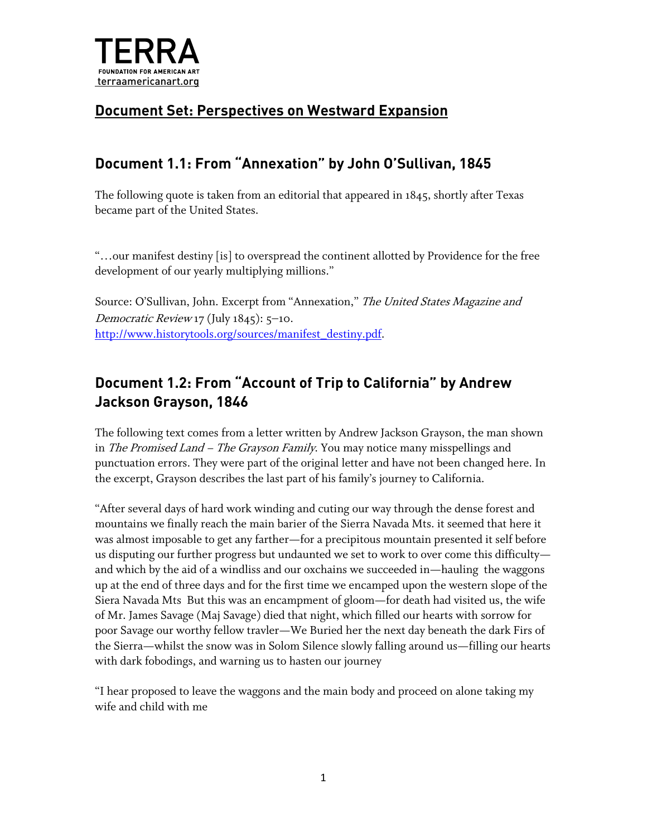

### **Document Set: Perspectives on Westward Expansion**

### **Document 1.1: From "Annexation" by John O'Sullivan, 1845**

The following quote is taken from an editorial that appeared in 1845, shortly after Texas became part of the United States.

"…our manifest destiny [is] to overspread the continent allotted by Providence for the free development of our yearly multiplying millions."

Source: O'Sullivan, John. Excerpt from "Annexation," The United States Magazine and Democratic Review 17 (July 1845): 5−10. [http://www.historytools.org/sources/manifest\\_destiny.pdf.](http://www.historytools.org/sources/manifest_destiny.pdf)

# **Document 1.2: From "Account of Trip to California" by Andrew Jackson Grayson, 1846**

The following text comes from a letter written by Andrew Jackson Grayson, the man shown in The Promised Land – The Grayson Family. You may notice many misspellings and punctuation errors. They were part of the original letter and have not been changed here. In the excerpt, Grayson describes the last part of his family's journey to California.

"After several days of hard work winding and cuting our way through the dense forest and mountains we finally reach the main barier of the Sierra Navada Mts. it seemed that here it was almost imposable to get any farther—for a precipitous mountain presented it self before us disputing our further progress but undaunted we set to work to over come this difficulty and which by the aid of a windliss and our oxchains we succeeded in—hauling the waggons up at the end of three days and for the first time we encamped upon the western slope of the Siera Navada Mts But this was an encampment of gloom—for death had visited us, the wife of Mr. James Savage (Maj Savage) died that night, which filled our hearts with sorrow for poor Savage our worthy fellow travler—We Buried her the next day beneath the dark Firs of the Sierra—whilst the snow was in Solom Silence slowly falling around us—filling our hearts with dark fobodings, and warning us to hasten our journey

"I hear proposed to leave the waggons and the main body and proceed on alone taking my wife and child with me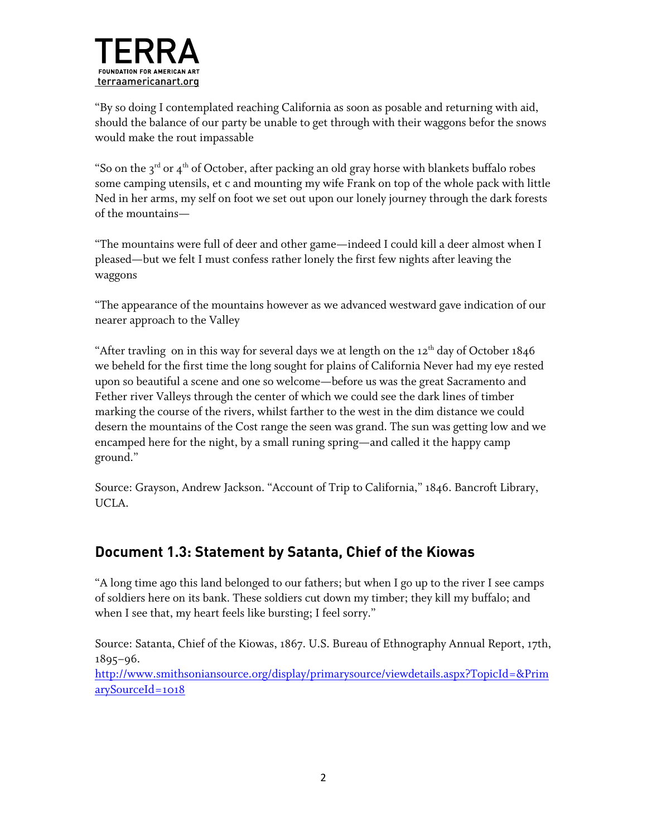

"By so doing I contemplated reaching California as soon as posable and returning with aid, should the balance of our party be unable to get through with their waggons befor the snows would make the rout impassable

"So on the  $3^{rd}$  or  $4^{th}$  of October, after packing an old gray horse with blankets buffalo robes some camping utensils, et c and mounting my wife Frank on top of the whole pack with little Ned in her arms, my self on foot we set out upon our lonely journey through the dark forests of the mountains—

"The mountains were full of deer and other game—indeed I could kill a deer almost when I pleased—but we felt I must confess rather lonely the first few nights after leaving the waggons

"The appearance of the mountains however as we advanced westward gave indication of our nearer approach to the Valley

"After travling on in this way for several days we at length on the  $12<sup>th</sup>$  day of October 1846 we beheld for the first time the long sought for plains of California Never had my eye rested upon so beautiful a scene and one so welcome—before us was the great Sacramento and Fether river Valleys through the center of which we could see the dark lines of timber marking the course of the rivers, whilst farther to the west in the dim distance we could desern the mountains of the Cost range the seen was grand. The sun was getting low and we encamped here for the night, by a small runing spring—and called it the happy camp ground."

Source: Grayson, Andrew Jackson. "Account of Trip to California," 1846. Bancroft Library, UCLA.

### **Document 1.3: Statement by Satanta, Chief of the Kiowas**

"A long time ago this land belonged to our fathers; but when I go up to the river I see camps of soldiers here on its bank. These soldiers cut down my timber; they kill my buffalo; and when I see that, my heart feels like bursting; I feel sorry."

Source: Satanta, Chief of the Kiowas, 1867. U.S. Bureau of Ethnography Annual Report, 17th, 1895–96.

[http://www.smithsoniansource.org/display/primarysource/viewdetails.aspx?TopicId=&Prim](http://www.smithsoniansource.org/display/primarysource/viewdetails.aspx?TopicId=&PrimarySourceId=1018) [arySourceId=1018](http://www.smithsoniansource.org/display/primarysource/viewdetails.aspx?TopicId=&PrimarySourceId=1018)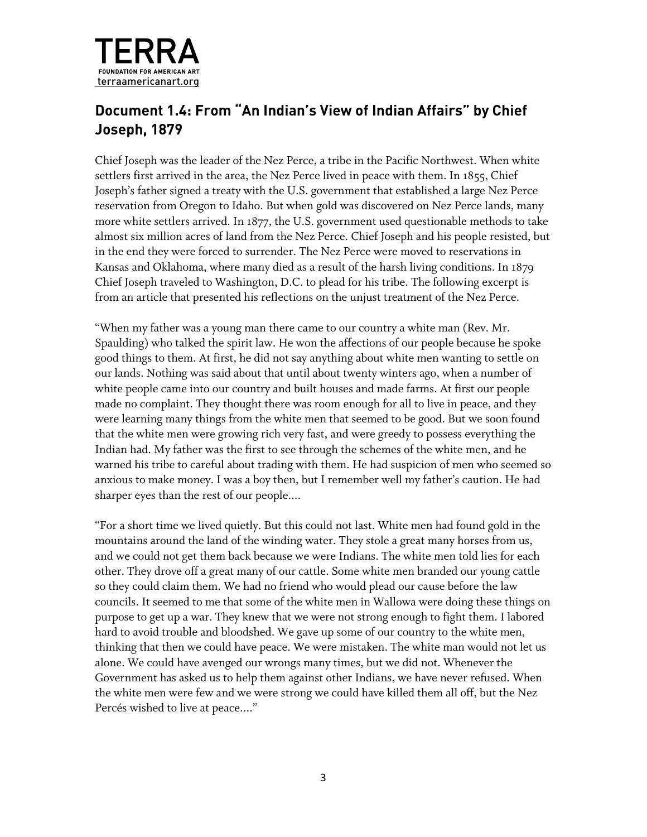

# **Document 1.4: From "An Indian's View of Indian Affairs" by Chief Joseph, 1879**

Chief Joseph was the leader of the Nez Perce, a tribe in the Pacific Northwest. When white settlers first arrived in the area, the Nez Perce lived in peace with them. In 1855, Chief Joseph's father signed a treaty with the U.S. government that established a large Nez Perce reservation from Oregon to Idaho. But when gold was discovered on Nez Perce lands, many more white settlers arrived. In 1877, the U.S. government used questionable methods to take almost six million acres of land from the Nez Perce. Chief Joseph and his people resisted, but in the end they were forced to surrender. The Nez Perce were moved to reservations in Kansas and Oklahoma, where many died as a result of the harsh living conditions. In 1879 Chief Joseph traveled to Washington, D.C. to plead for his tribe. The following excerpt is from an article that presented his reflections on the unjust treatment of the Nez Perce.

"When my father was a young man there came to our country a white man (Rev. Mr. Spaulding) who talked the spirit law. He won the affections of our people because he spoke good things to them. At first, he did not say anything about white men wanting to settle on our lands. Nothing was said about that until about twenty winters ago, when a number of white people came into our country and built houses and made farms. At first our people made no complaint. They thought there was room enough for all to live in peace, and they were learning many things from the white men that seemed to be good. But we soon found that the white men were growing rich very fast, and were greedy to possess everything the Indian had. My father was the first to see through the schemes of the white men, and he warned his tribe to careful about trading with them. He had suspicion of men who seemed so anxious to make money. I was a boy then, but I remember well my father's caution. He had sharper eyes than the rest of our people....

"For a short time we lived quietly. But this could not last. White men had found gold in the mountains around the land of the winding water. They stole a great many horses from us, and we could not get them back because we were Indians. The white men told lies for each other. They drove off a great many of our cattle. Some white men branded our young cattle so they could claim them. We had no friend who would plead our cause before the law councils. It seemed to me that some of the white men in Wallowa were doing these things on purpose to get up a war. They knew that we were not strong enough to fight them. I labored hard to avoid trouble and bloodshed. We gave up some of our country to the white men, thinking that then we could have peace. We were mistaken. The white man would not let us alone. We could have avenged our wrongs many times, but we did not. Whenever the Government has asked us to help them against other Indians, we have never refused. When the white men were few and we were strong we could have killed them all off, but the Nez Percés wished to live at peace...."